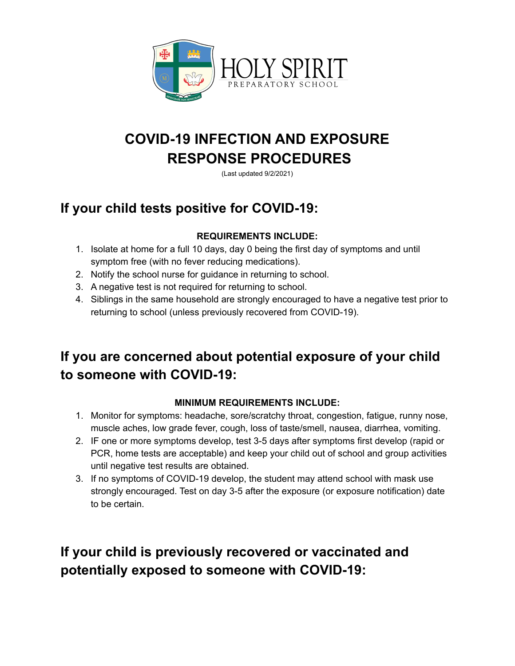

# **COVID-19 INFECTION AND EXPOSURE RESPONSE PROCEDURES**

(Last updated 9/2/2021)

## **If your child tests positive for COVID-19:**

### **REQUIREMENTS INCLUDE:**

- 1. Isolate at home for a full 10 days, day 0 being the first day of symptoms and until symptom free (with no fever reducing medications).
- 2. Notify the school nurse for guidance in returning to school.
- 3. A negative test is not required for returning to school.
- 4. Siblings in the same household are strongly encouraged to have a negative test prior to returning to school (unless previously recovered from COVID-19).

## **If you are concerned about potential exposure of your child to someone with COVID-19:**

### **MINIMUM REQUIREMENTS INCLUDE:**

- 1. Monitor for symptoms: headache, sore/scratchy throat, congestion, fatigue, runny nose, muscle aches, low grade fever, cough, loss of taste/smell, nausea, diarrhea, vomiting.
- 2. IF one or more symptoms develop, test 3-5 days after symptoms first develop (rapid or PCR, home tests are acceptable) and keep your child out of school and group activities until negative test results are obtained.
- 3. If no symptoms of COVID-19 develop, the student may attend school with mask use strongly encouraged. Test on day 3-5 after the exposure (or exposure notification) date to be certain.

## **If your child is previously recovered or vaccinated and potentially exposed to someone with COVID-19:**